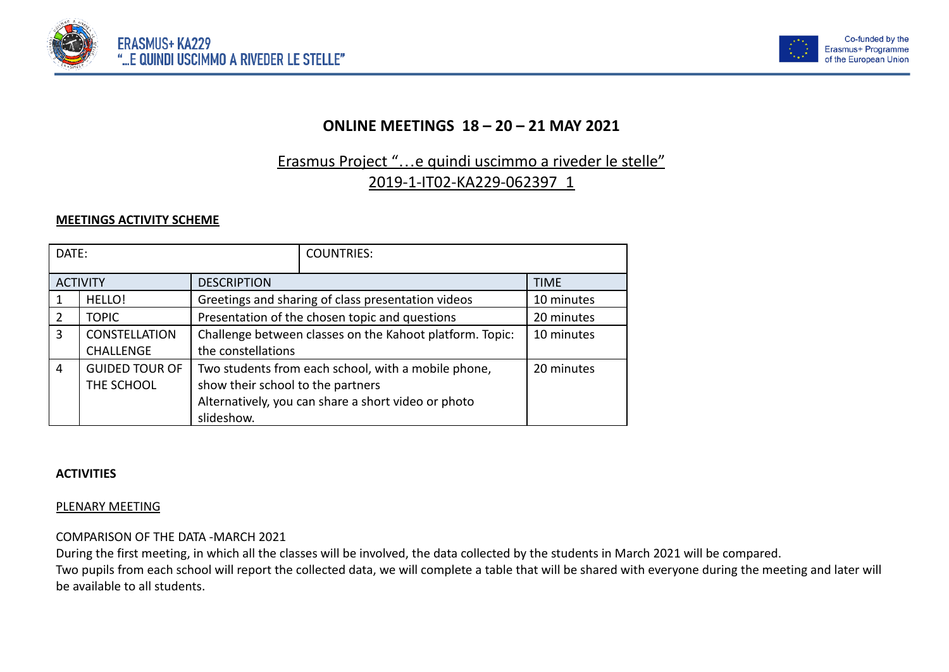



## **ONLINE MEETINGS 18 – 20 – 21 MAY 2021**

# Erasmus Project "…e quindi uscimmo a riveder le stelle" 2019-1-IT02-KA229-062397\_1

## **MEETINGS ACTIVITY SCHEME**

| DATE:           |                       |                                                          | <b>COUNTRIES:</b>                                   |             |  |
|-----------------|-----------------------|----------------------------------------------------------|-----------------------------------------------------|-------------|--|
| <b>ACTIVITY</b> |                       | <b>DESCRIPTION</b>                                       |                                                     | <b>TIME</b> |  |
| 1               | HELLO!                | Greetings and sharing of class presentation videos       | 10 minutes                                          |             |  |
| 2               | <b>TOPIC</b>          | Presentation of the chosen topic and questions           | 20 minutes                                          |             |  |
| $\overline{3}$  | <b>CONSTELLATION</b>  | Challenge between classes on the Kahoot platform. Topic: | 10 minutes                                          |             |  |
|                 | <b>CHALLENGE</b>      | the constellations                                       |                                                     |             |  |
| $\overline{4}$  | <b>GUIDED TOUR OF</b> | Two students from each school, with a mobile phone,      | 20 minutes                                          |             |  |
|                 | THE SCHOOL            | show their school to the partners                        |                                                     |             |  |
|                 |                       |                                                          | Alternatively, you can share a short video or photo |             |  |
|                 |                       | slideshow.                                               |                                                     |             |  |

#### **ACTIVITIES**

## PLENARY MEETING

## COMPARISON OF THE DATA -MARCH 2021

During the first meeting, in which all the classes will be involved, the data collected by the students in March 2021 will be compared.

Two pupils from each school will report the collected data, we will complete a table that will be shared with everyone during the meeting and later will be available to all students.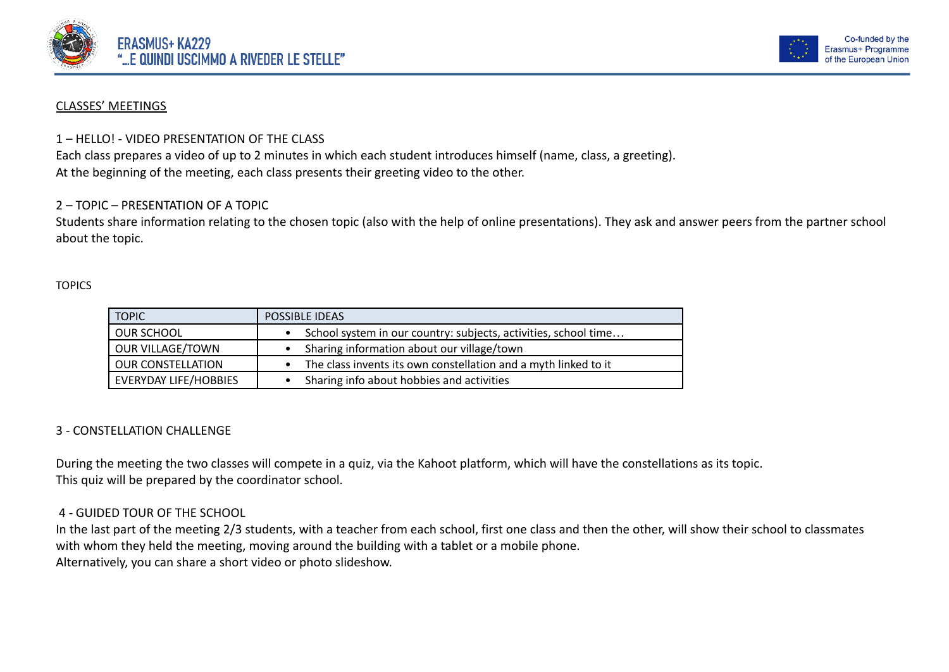



#### CLASSES' MEETINGS

#### 1 – HELLO! - VIDEO PRESENTATION OF THE CLASS

Each class prepares a video of up to 2 minutes in which each student introduces himself (name, class, a greeting). At the beginning of the meeting, each class presents their greeting video to the other.

### 2 – TOPIC – PRESENTATION OF A TOPIC

Students share information relating to the chosen topic (also with the help of online presentations). They ask and answer peers from the partner school about the topic.

#### **TOPICS**

| <b>TOPIC</b>                 | POSSIBLE IDEAS                                                  |
|------------------------------|-----------------------------------------------------------------|
| OUR SCHOOL                   | School system in our country: subjects, activities, school time |
| <b>OUR VILLAGE/TOWN</b>      | Sharing information about our village/town                      |
| <b>OUR CONSTELLATION</b>     | The class invents its own constellation and a myth linked to it |
| <b>EVERYDAY LIFE/HOBBIES</b> | Sharing info about hobbies and activities                       |

#### 3 - CONSTELLATION CHALLENGE

During the meeting the two classes will compete in a quiz, via the Kahoot platform, which will have the constellations as its topic. This quiz will be prepared by the coordinator school.

#### 4 - GUIDED TOUR OF THE SCHOOL

In the last part of the meeting 2/3 students, with a teacher from each school, first one class and then the other, will show their school to classmates with whom they held the meeting, moving around the building with a tablet or a mobile phone. Alternatively, you can share a short video or photo slideshow.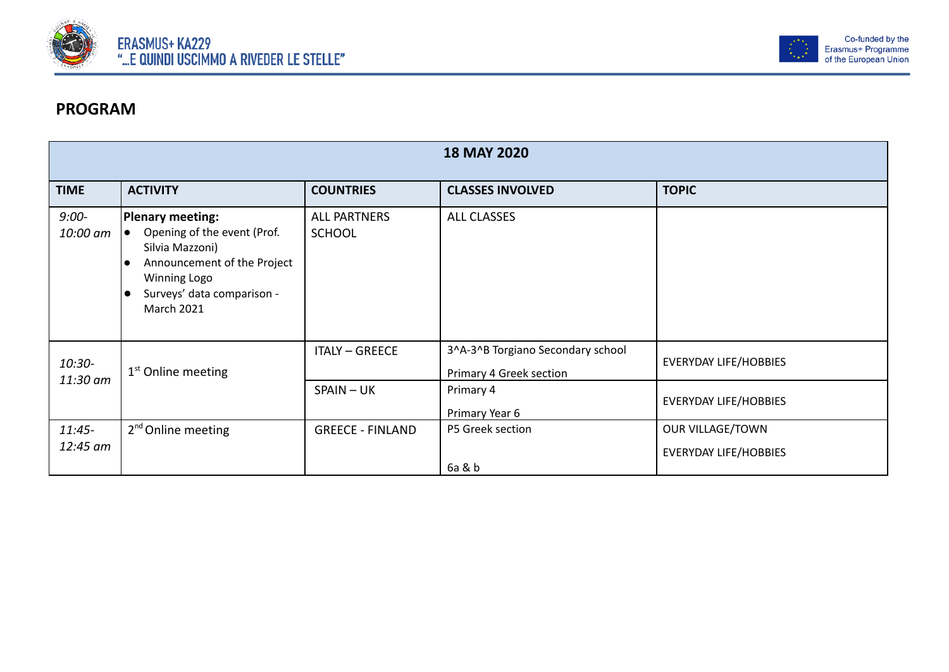



# **PROGRAM**

| <b>18 MAY 2020</b>    |                                                                                                                                                                             |                                      |                                                              |                                                  |  |
|-----------------------|-----------------------------------------------------------------------------------------------------------------------------------------------------------------------------|--------------------------------------|--------------------------------------------------------------|--------------------------------------------------|--|
| <b>TIME</b>           | <b>ACTIVITY</b>                                                                                                                                                             | <b>COUNTRIES</b>                     | <b>CLASSES INVOLVED</b>                                      | <b>TOPIC</b>                                     |  |
| $9:00-$<br>10:00 am   | Plenary meeting:<br>Opening of the event (Prof.<br>Silvia Mazzoni)<br>Announcement of the Project<br><b>Winning Logo</b><br>Surveys' data comparison -<br><b>March 2021</b> | <b>ALL PARTNERS</b><br><b>SCHOOL</b> | <b>ALL CLASSES</b>                                           |                                                  |  |
| 10:30-<br>11:30 am    | $1st$ Online meeting                                                                                                                                                        | <b>ITALY - GREECE</b>                | 3^A-3^B Torgiano Secondary school<br>Primary 4 Greek section | <b>EVERYDAY LIFE/HOBBIES</b>                     |  |
|                       |                                                                                                                                                                             | SPAIN-UK                             | Primary 4<br>Primary Year 6                                  | <b>EVERYDAY LIFE/HOBBIES</b>                     |  |
| $11:45 -$<br>12:45 am | 2 <sup>nd</sup> Online meeting                                                                                                                                              | <b>GREECE - FINLAND</b>              | P5 Greek section<br>6a & b                                   | OUR VILLAGE/TOWN<br><b>EVERYDAY LIFE/HOBBIES</b> |  |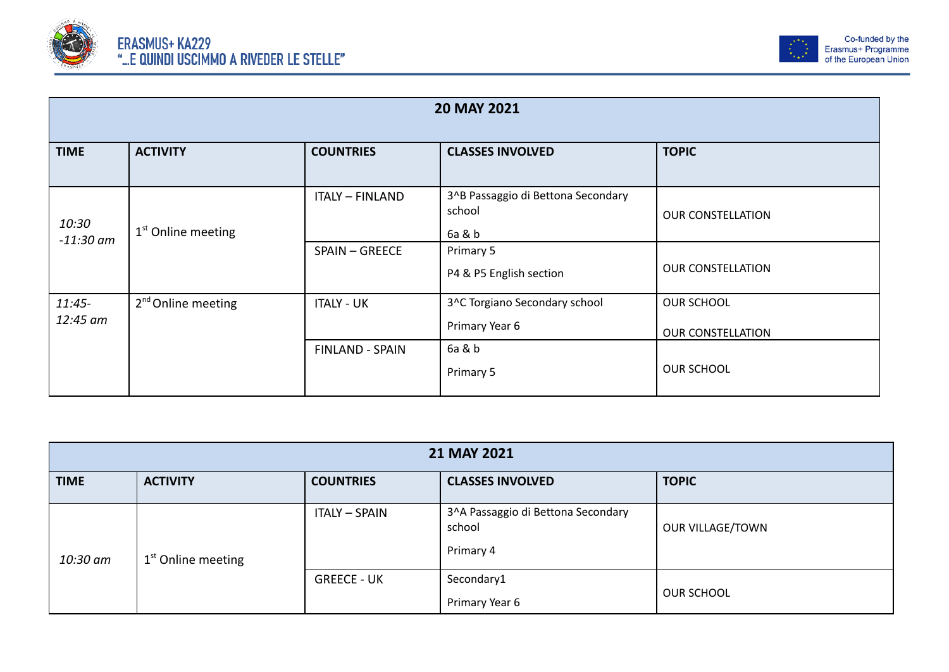



| 20 MAY 2021          |                                |                        |                                                        |                                               |
|----------------------|--------------------------------|------------------------|--------------------------------------------------------|-----------------------------------------------|
| <b>TIME</b>          | <b>ACTIVITY</b>                | <b>COUNTRIES</b>       | <b>CLASSES INVOLVED</b>                                | <b>TOPIC</b>                                  |
| 10:30<br>$-11:30$ am | $1st$ Online meeting           | <b>ITALY - FINLAND</b> | 3^B Passaggio di Bettona Secondary<br>school<br>6a & b | <b>OUR CONSTELLATION</b>                      |
|                      |                                | SPAIN - GREECE         | Primary 5<br>P4 & P5 English section                   | <b>OUR CONSTELLATION</b>                      |
| $11:45-$<br>12:45 am | 2 <sup>nd</sup> Online meeting | <b>ITALY - UK</b>      | 3^C Torgiano Secondary school<br>Primary Year 6        | <b>OUR SCHOOL</b><br><b>OUR CONSTELLATION</b> |
|                      |                                | <b>FINLAND - SPAIN</b> | 6a & b<br>Primary 5                                    | <b>OUR SCHOOL</b>                             |

| 21 MAY 2021 |                      |                      |                                                           |                   |  |
|-------------|----------------------|----------------------|-----------------------------------------------------------|-------------------|--|
| <b>TIME</b> | <b>ACTIVITY</b>      | <b>COUNTRIES</b>     | <b>CLASSES INVOLVED</b>                                   | <b>TOPIC</b>      |  |
| 10:30 am    | $1st$ Online meeting | <b>ITALY - SPAIN</b> | 3^A Passaggio di Bettona Secondary<br>school<br>Primary 4 | OUR VILLAGE/TOWN  |  |
|             |                      | <b>GREECE - UK</b>   | Secondary1<br>Primary Year 6                              | <b>OUR SCHOOL</b> |  |